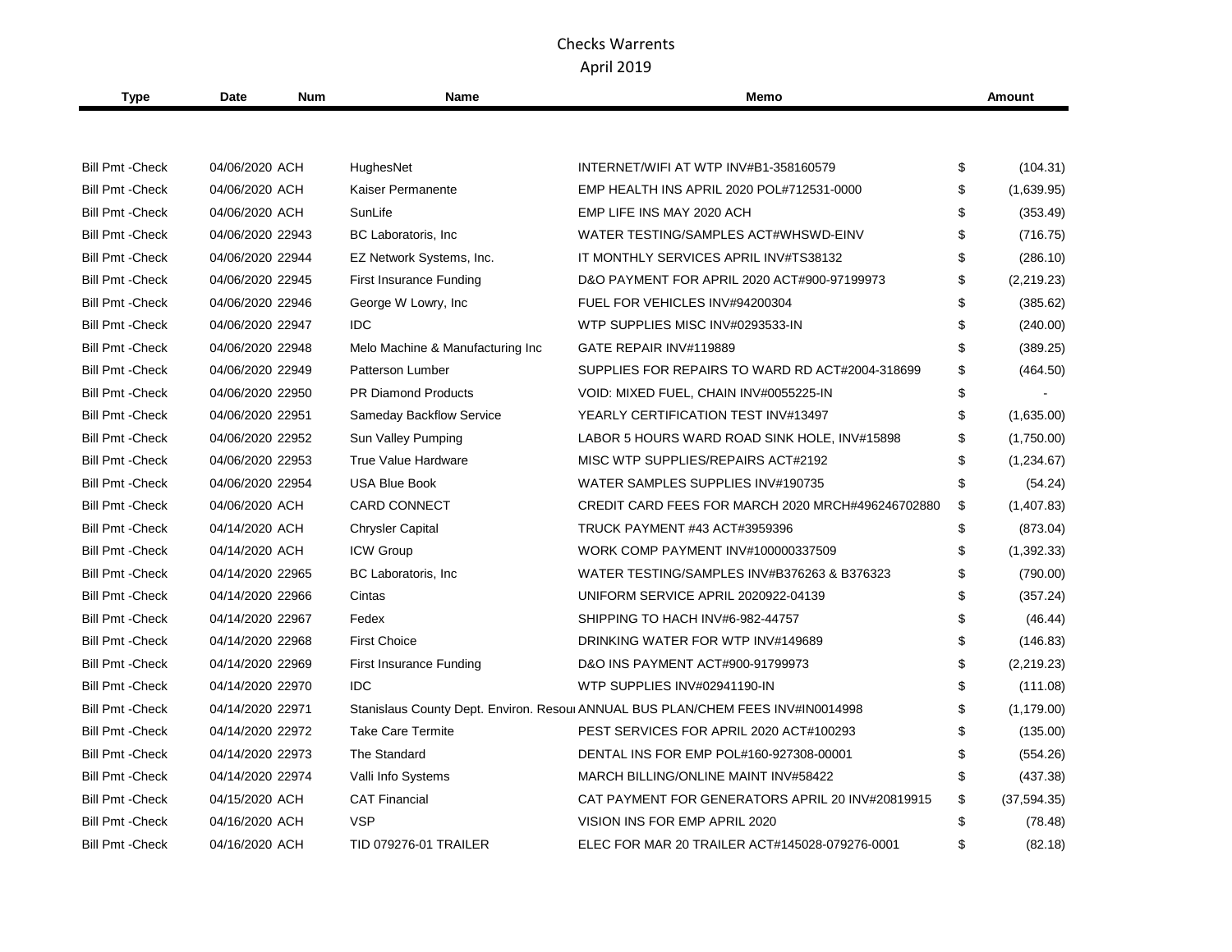| <b>Type</b>             | Date             | <b>Num</b> | <b>Name</b>                      | Memo                                                                            | <b>Amount</b> |              |
|-------------------------|------------------|------------|----------------------------------|---------------------------------------------------------------------------------|---------------|--------------|
|                         |                  |            |                                  |                                                                                 |               |              |
| <b>Bill Pmt - Check</b> | 04/06/2020 ACH   |            | HughesNet                        | INTERNET/WIFI AT WTP INV#B1-358160579                                           | \$            | (104.31)     |
| <b>Bill Pmt - Check</b> | 04/06/2020 ACH   |            | Kaiser Permanente                | EMP HEALTH INS APRIL 2020 POL#712531-0000                                       | \$            | (1,639.95)   |
| <b>Bill Pmt - Check</b> | 04/06/2020 ACH   |            | SunLife                          | EMP LIFE INS MAY 2020 ACH                                                       | \$            | (353.49)     |
| <b>Bill Pmt - Check</b> | 04/06/2020 22943 |            | BC Laboratoris, Inc.             | WATER TESTING/SAMPLES ACT#WHSWD-EINV                                            | \$            | (716.75)     |
| <b>Bill Pmt - Check</b> | 04/06/2020 22944 |            | EZ Network Systems, Inc.         | IT MONTHLY SERVICES APRIL INV#TS38132                                           | \$            | (286.10)     |
| <b>Bill Pmt - Check</b> | 04/06/2020 22945 |            | <b>First Insurance Funding</b>   | D&O PAYMENT FOR APRIL 2020 ACT#900-97199973                                     | \$            | (2,219.23)   |
| <b>Bill Pmt - Check</b> | 04/06/2020 22946 |            | George W Lowry, Inc              | FUEL FOR VEHICLES INV#94200304                                                  | \$            | (385.62)     |
| <b>Bill Pmt - Check</b> | 04/06/2020 22947 |            | <b>IDC</b>                       | WTP SUPPLIES MISC INV#0293533-IN                                                | \$            | (240.00)     |
| <b>Bill Pmt - Check</b> | 04/06/2020 22948 |            | Melo Machine & Manufacturing Inc | GATE REPAIR INV#119889                                                          | \$            | (389.25)     |
| <b>Bill Pmt - Check</b> | 04/06/2020 22949 |            | <b>Patterson Lumber</b>          | SUPPLIES FOR REPAIRS TO WARD RD ACT#2004-318699                                 | \$            | (464.50)     |
| <b>Bill Pmt - Check</b> | 04/06/2020 22950 |            | <b>PR Diamond Products</b>       | VOID: MIXED FUEL, CHAIN INV#0055225-IN                                          | \$            |              |
| <b>Bill Pmt - Check</b> | 04/06/2020 22951 |            | <b>Sameday Backflow Service</b>  | YEARLY CERTIFICATION TEST INV#13497                                             | \$            | (1,635.00)   |
| <b>Bill Pmt - Check</b> | 04/06/2020 22952 |            | Sun Valley Pumping               | LABOR 5 HOURS WARD ROAD SINK HOLE, INV#15898                                    | \$            | (1,750.00)   |
| <b>Bill Pmt - Check</b> | 04/06/2020 22953 |            | <b>True Value Hardware</b>       | MISC WTP SUPPLIES/REPAIRS ACT#2192                                              | \$            | (1,234.67)   |
| <b>Bill Pmt - Check</b> | 04/06/2020 22954 |            | <b>USA Blue Book</b>             | WATER SAMPLES SUPPLIES INV#190735                                               | \$            | (54.24)      |
| <b>Bill Pmt - Check</b> | 04/06/2020 ACH   |            | <b>CARD CONNECT</b>              | CREDIT CARD FEES FOR MARCH 2020 MRCH#496246702880                               | \$            | (1,407.83)   |
| <b>Bill Pmt - Check</b> | 04/14/2020 ACH   |            | <b>Chrysler Capital</b>          | <b>TRUCK PAYMENT #43 ACT#3959396</b>                                            | \$            | (873.04)     |
| <b>Bill Pmt - Check</b> | 04/14/2020 ACH   |            | ICW Group                        | WORK COMP PAYMENT INV#100000337509                                              | \$            | (1, 392.33)  |
| <b>Bill Pmt - Check</b> | 04/14/2020 22965 |            | BC Laboratoris, Inc.             | WATER TESTING/SAMPLES INV#B376263 & B376323                                     | \$            | (790.00)     |
| <b>Bill Pmt - Check</b> | 04/14/2020 22966 |            | Cintas                           | UNIFORM SERVICE APRIL 2020922-04139                                             | \$            | (357.24)     |
| <b>Bill Pmt - Check</b> | 04/14/2020 22967 |            | Fedex                            | SHIPPING TO HACH INV#6-982-44757                                                | \$            | (46.44)      |
| <b>Bill Pmt - Check</b> | 04/14/2020 22968 |            | <b>First Choice</b>              | DRINKING WATER FOR WTP INV#149689                                               | \$            | (146.83)     |
| <b>Bill Pmt - Check</b> | 04/14/2020 22969 |            | First Insurance Funding          | D&O INS PAYMENT ACT#900-91799973                                                | \$            | (2,219.23)   |
| <b>Bill Pmt - Check</b> | 04/14/2020 22970 |            | <b>IDC</b>                       | WTP SUPPLIES INV#02941190-IN                                                    | \$            | (111.08)     |
| <b>Bill Pmt - Check</b> | 04/14/2020 22971 |            |                                  | Stanislaus County Dept. Environ. Resoul ANNUAL BUS PLAN/CHEM FEES INV#IN0014998 | \$            | (1, 179.00)  |
| <b>Bill Pmt - Check</b> | 04/14/2020 22972 |            | <b>Take Care Termite</b>         | PEST SERVICES FOR APRIL 2020 ACT#100293                                         | \$            | (135.00)     |
| <b>Bill Pmt - Check</b> | 04/14/2020 22973 |            | The Standard                     | DENTAL INS FOR EMP POL#160-927308-00001                                         | \$            | (554.26)     |
| <b>Bill Pmt - Check</b> | 04/14/2020 22974 |            | Valli Info Systems               | MARCH BILLING/ONLINE MAINT INV#58422                                            | \$            | (437.38)     |
| <b>Bill Pmt - Check</b> | 04/15/2020 ACH   |            | <b>CAT Financial</b>             | CAT PAYMENT FOR GENERATORS APRIL 20 INV#20819915                                | \$            | (37, 594.35) |
| <b>Bill Pmt - Check</b> | 04/16/2020 ACH   |            | <b>VSP</b>                       | VISION INS FOR EMP APRIL 2020                                                   | \$            | (78.48)      |
| <b>Bill Pmt - Check</b> | 04/16/2020 ACH   |            | <b>TID 079276-01 TRAILER</b>     | ELEC FOR MAR 20 TRAILER ACT#145028-079276-0001                                  | \$            | (82.18)      |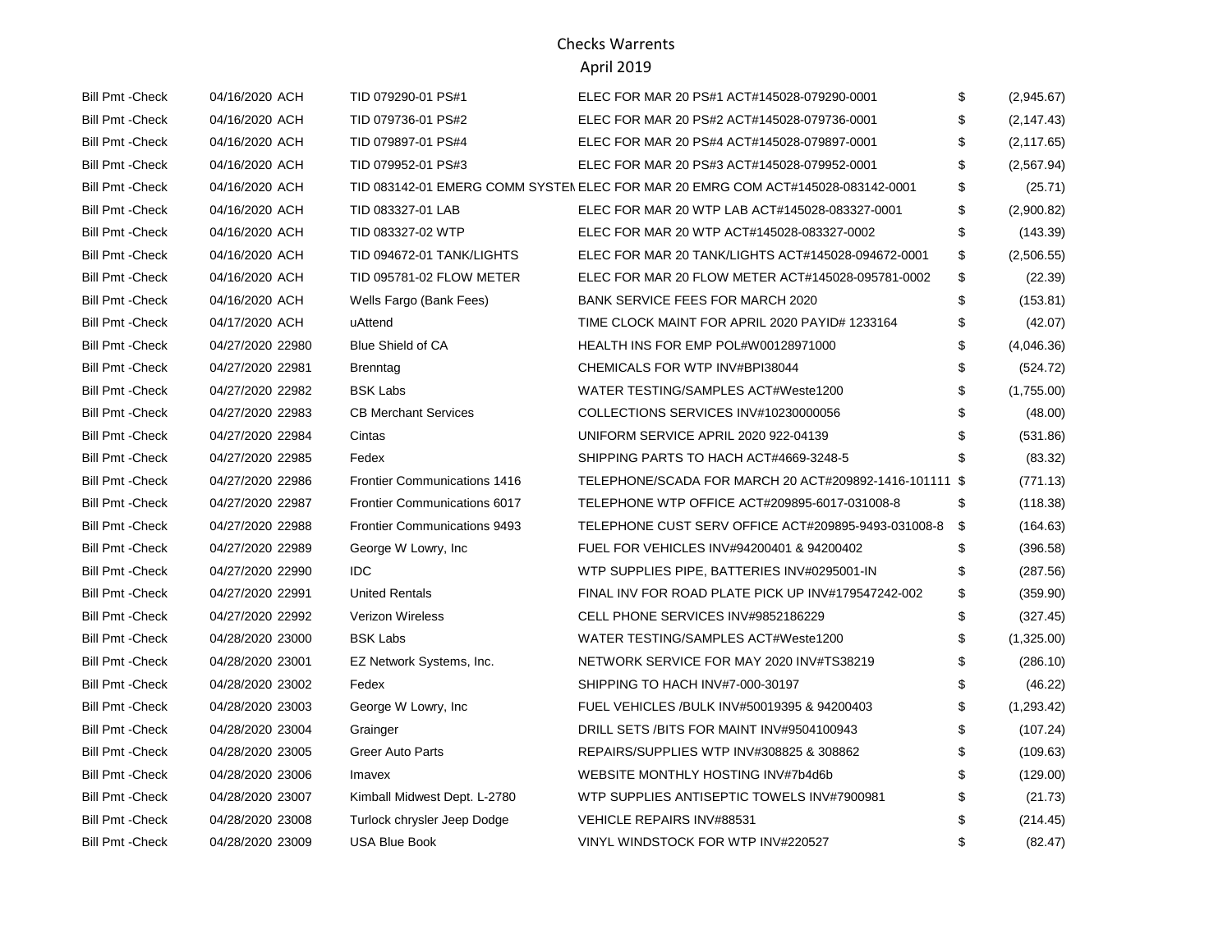# Checks Warrents

#### April 2019

| Bill Pmt - Check        | 04/16/2020 ACH   | TID 079290-01 PS#1                  | ELEC FOR MAR 20 PS#1 ACT#145028-079290-0001                                     | \$ | (2,945.67)  |
|-------------------------|------------------|-------------------------------------|---------------------------------------------------------------------------------|----|-------------|
| <b>Bill Pmt - Check</b> | 04/16/2020 ACH   | TID 079736-01 PS#2                  | ELEC FOR MAR 20 PS#2 ACT#145028-079736-0001                                     | S  | (2, 147.43) |
| <b>Bill Pmt - Check</b> | 04/16/2020 ACH   | TID 079897-01 PS#4                  | ELEC FOR MAR 20 PS#4 ACT#145028-079897-0001                                     | \$ | (2, 117.65) |
| <b>Bill Pmt - Check</b> | 04/16/2020 ACH   | TID 079952-01 PS#3                  | ELEC FOR MAR 20 PS#3 ACT#145028-079952-0001                                     | \$ | (2, 567.94) |
| <b>Bill Pmt - Check</b> | 04/16/2020 ACH   |                                     | TID 083142-01 EMERG COMM SYSTEN ELEC FOR MAR 20 EMRG COM ACT#145028-083142-0001 | \$ | (25.71)     |
| <b>Bill Pmt - Check</b> | 04/16/2020 ACH   | TID 083327-01 LAB                   | ELEC FOR MAR 20 WTP LAB ACT#145028-083327-0001                                  | \$ | (2,900.82)  |
| <b>Bill Pmt - Check</b> | 04/16/2020 ACH   | TID 083327-02 WTP                   | ELEC FOR MAR 20 WTP ACT#145028-083327-0002                                      | \$ | (143.39)    |
| <b>Bill Pmt - Check</b> | 04/16/2020 ACH   | TID 094672-01 TANK/LIGHTS           | ELEC FOR MAR 20 TANK/LIGHTS ACT#145028-094672-0001                              | \$ | (2,506.55)  |
| <b>Bill Pmt - Check</b> | 04/16/2020 ACH   | TID 095781-02 FLOW METER            | ELEC FOR MAR 20 FLOW METER ACT#145028-095781-0002                               | \$ | (22.39)     |
| <b>Bill Pmt - Check</b> | 04/16/2020 ACH   | Wells Fargo (Bank Fees)             | <b>BANK SERVICE FEES FOR MARCH 2020</b>                                         | \$ | (153.81)    |
| <b>Bill Pmt - Check</b> | 04/17/2020 ACH   | uAttend                             | TIME CLOCK MAINT FOR APRIL 2020 PAYID# 1233164                                  | \$ | (42.07)     |
| <b>Bill Pmt - Check</b> | 04/27/2020 22980 | <b>Blue Shield of CA</b>            | HEALTH INS FOR EMP POL#W00128971000                                             | \$ | (4,046.36)  |
| <b>Bill Pmt - Check</b> | 04/27/2020 22981 | <b>Brenntag</b>                     | CHEMICALS FOR WTP INV#BPI38044                                                  | \$ | (524.72)    |
| <b>Bill Pmt - Check</b> | 04/27/2020 22982 | <b>BSK Labs</b>                     | WATER TESTING/SAMPLES ACT#Weste1200                                             | \$ | (1,755.00)  |
| <b>Bill Pmt - Check</b> | 04/27/2020 22983 | <b>CB Merchant Services</b>         | COLLECTIONS SERVICES INV#10230000056                                            | \$ | (48.00)     |
| <b>Bill Pmt - Check</b> | 04/27/2020 22984 | Cintas                              | UNIFORM SERVICE APRIL 2020 922-04139                                            | \$ | (531.86)    |
| <b>Bill Pmt - Check</b> | 04/27/2020 22985 | Fedex                               | SHIPPING PARTS TO HACH ACT#4669-3248-5                                          |    | (83.32)     |
| <b>Bill Pmt - Check</b> | 04/27/2020 22986 | <b>Frontier Communications 1416</b> | TELEPHONE/SCADA FOR MARCH 20 ACT#209892-1416-101111 \$                          |    | (771.13)    |
| <b>Bill Pmt - Check</b> | 04/27/2020 22987 | <b>Frontier Communications 6017</b> | TELEPHONE WTP OFFICE ACT#209895-6017-031008-8                                   | \$ | (118.38)    |
| <b>Bill Pmt - Check</b> | 04/27/2020 22988 | <b>Frontier Communications 9493</b> | TELEPHONE CUST SERV OFFICE ACT#209895-9493-031008-8                             | \$ | (164.63)    |
| <b>Bill Pmt - Check</b> | 04/27/2020 22989 | George W Lowry, Inc.                | FUEL FOR VEHICLES INV#94200401 & 94200402                                       | S  | (396.58)    |
| <b>Bill Pmt - Check</b> | 04/27/2020 22990 | IDC.                                | WTP SUPPLIES PIPE, BATTERIES INV#0295001-IN                                     | \$ | (287.56)    |
| <b>Bill Pmt - Check</b> | 04/27/2020 22991 | <b>United Rentals</b>               | FINAL INV FOR ROAD PLATE PICK UP INV#179547242-002                              | \$ | (359.90)    |
| <b>Bill Pmt - Check</b> | 04/27/2020 22992 | <b>Verizon Wireless</b>             | CELL PHONE SERVICES INV#9852186229                                              | \$ | (327.45)    |
| <b>Bill Pmt - Check</b> | 04/28/2020 23000 | <b>BSK Labs</b>                     | WATER TESTING/SAMPLES ACT#Weste1200                                             | \$ | (1,325.00)  |
| <b>Bill Pmt - Check</b> | 04/28/2020 23001 | EZ Network Systems, Inc.            | NETWORK SERVICE FOR MAY 2020 INV#TS38219                                        | S  | (286.10)    |
| <b>Bill Pmt - Check</b> | 04/28/2020 23002 | Fedex                               | SHIPPING TO HACH INV#7-000-30197                                                |    | (46.22)     |
| <b>Bill Pmt - Check</b> | 04/28/2020 23003 | George W Lowry, Inc.                | FUEL VEHICLES / BULK INV#50019395 & 94200403                                    | \$ | (1,293.42)  |
| <b>Bill Pmt - Check</b> | 04/28/2020 23004 | Grainger                            | DRILL SETS /BITS FOR MAINT INV#9504100943                                       | \$ | (107.24)    |
| <b>Bill Pmt - Check</b> | 04/28/2020 23005 | <b>Greer Auto Parts</b>             | REPAIRS/SUPPLIES WTP INV#308825 & 308862                                        | \$ | (109.63)    |
| <b>Bill Pmt - Check</b> | 04/28/2020 23006 | Imavex                              | WEBSITE MONTHLY HOSTING INV#7b4d6b                                              |    | (129.00)    |
| <b>Bill Pmt - Check</b> | 04/28/2020 23007 | Kimball Midwest Dept. L-2780        | WTP SUPPLIES ANTISEPTIC TOWELS INV#7900981                                      | \$ | (21.73)     |
| <b>Bill Pmt - Check</b> | 04/28/2020 23008 | Turlock chrysler Jeep Dodge         | VEHICLE REPAIRS INV#88531                                                       |    | (214.45)    |
| <b>Bill Pmt - Check</b> | 04/28/2020 23009 | <b>USA Blue Book</b>                | VINYL WINDSTOCK FOR WTP INV#220527                                              | \$ | (82.47)     |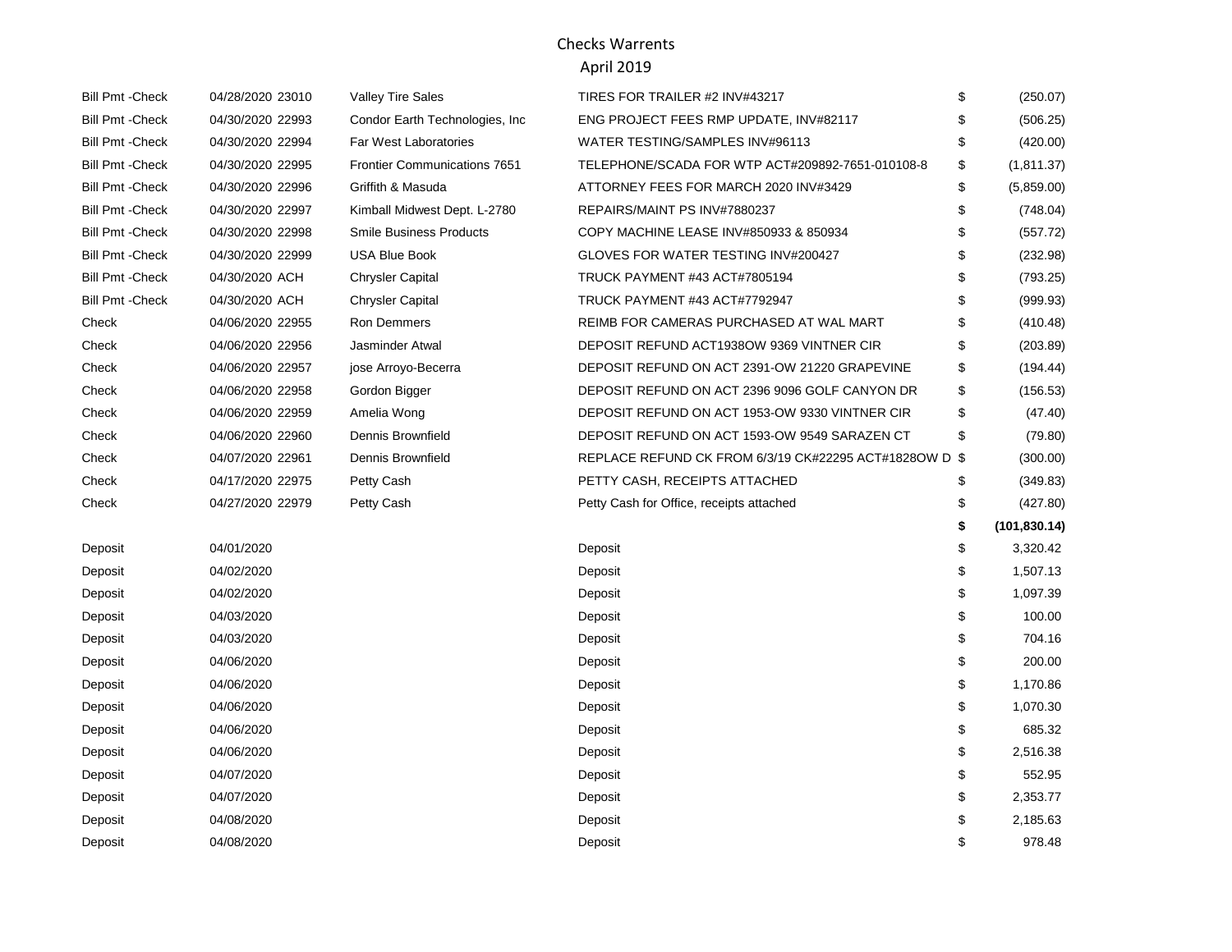| <b>Bill Pmt - Check</b> | 04/28/2020 23010 | <b>Valley Tire Sales</b>            | TIRES FOR TRAILER #2 INV#43217                         | \$ | (250.07)      |
|-------------------------|------------------|-------------------------------------|--------------------------------------------------------|----|---------------|
| <b>Bill Pmt - Check</b> | 04/30/2020 22993 | Condor Earth Technologies, Inc.     | ENG PROJECT FEES RMP UPDATE, INV#82117                 | S  | (506.25)      |
| <b>Bill Pmt - Check</b> | 04/30/2020 22994 | <b>Far West Laboratories</b>        | WATER TESTING/SAMPLES INV#96113                        | \$ | (420.00)      |
| <b>Bill Pmt - Check</b> | 04/30/2020 22995 | <b>Frontier Communications 7651</b> | TELEPHONE/SCADA FOR WTP ACT#209892-7651-010108-8       | \$ | (1, 811.37)   |
| <b>Bill Pmt - Check</b> | 04/30/2020 22996 | Griffith & Masuda                   | ATTORNEY FEES FOR MARCH 2020 INV#3429                  | \$ | (5,859.00)    |
| <b>Bill Pmt - Check</b> | 04/30/2020 22997 | Kimball Midwest Dept. L-2780        | REPAIRS/MAINT PS INV#7880237                           | \$ | (748.04)      |
| <b>Bill Pmt - Check</b> | 04/30/2020 22998 | <b>Smile Business Products</b>      | COPY MACHINE LEASE INV#850933 & 850934                 | \$ | (557.72)      |
| <b>Bill Pmt - Check</b> | 04/30/2020 22999 | <b>USA Blue Book</b>                | GLOVES FOR WATER TESTING INV#200427                    | \$ | (232.98)      |
| <b>Bill Pmt - Check</b> | 04/30/2020 ACH   | <b>Chrysler Capital</b>             | TRUCK PAYMENT #43 ACT#7805194                          | \$ | (793.25)      |
| <b>Bill Pmt - Check</b> | 04/30/2020 ACH   | <b>Chrysler Capital</b>             | TRUCK PAYMENT #43 ACT#7792947                          | \$ | (999.93)      |
| Check                   | 04/06/2020 22955 | Ron Demmers                         | REIMB FOR CAMERAS PURCHASED AT WAL MART                | \$ | (410.48)      |
| Check                   | 04/06/2020 22956 | Jasminder Atwal                     | DEPOSIT REFUND ACT1938OW 9369 VINTNER CIR              | \$ | (203.89)      |
| Check                   | 04/06/2020 22957 | jose Arroyo-Becerra                 | DEPOSIT REFUND ON ACT 2391-OW 21220 GRAPEVINE          | \$ | (194.44)      |
| Check                   | 04/06/2020 22958 | Gordon Bigger                       | DEPOSIT REFUND ON ACT 2396 9096 GOLF CANYON DR         | \$ | (156.53)      |
| Check                   | 04/06/2020 22959 | Amelia Wong                         | DEPOSIT REFUND ON ACT 1953-OW 9330 VINTNER CIR         | \$ | (47.40)       |
| Check                   | 04/06/2020 22960 | Dennis Brownfield                   | DEPOSIT REFUND ON ACT 1593-OW 9549 SARAZEN CT          | \$ | (79.80)       |
| Check                   | 04/07/2020 22961 | Dennis Brownfield                   | REPLACE REFUND CK FROM 6/3/19 CK#22295 ACT#1828OW D \$ |    | (300.00)      |
| Check                   | 04/17/2020 22975 | Petty Cash                          | PETTY CASH, RECEIPTS ATTACHED                          | \$ | (349.83)      |
| Check                   | 04/27/2020 22979 | Petty Cash                          | Petty Cash for Office, receipts attached               | \$ | (427.80)      |
|                         |                  |                                     |                                                        | \$ | (101, 830.14) |
| Deposit                 | 04/01/2020       |                                     | Deposit                                                | \$ | 3,320.42      |
| Deposit                 | 04/02/2020       |                                     | Deposit                                                | \$ | 1,507.13      |
| Deposit                 | 04/02/2020       |                                     | Deposit                                                | \$ | 1,097.39      |
| Deposit                 | 04/03/2020       |                                     | Deposit                                                | \$ | 100.00        |
| Deposit                 | 04/03/2020       |                                     | Deposit                                                | \$ | 704.16        |
| Deposit                 | 04/06/2020       |                                     | Deposit                                                | \$ | 200.00        |
| Deposit                 | 04/06/2020       |                                     | Deposit                                                | \$ | 1,170.86      |
| Deposit                 | 04/06/2020       |                                     | Deposit                                                | \$ | 1,070.30      |
| Deposit                 | 04/06/2020       |                                     | Deposit                                                | \$ | 685.32        |
| Deposit                 | 04/06/2020       |                                     | Deposit                                                | \$ | 2,516.38      |
| Deposit                 | 04/07/2020       |                                     | Deposit                                                | \$ | 552.95        |
| Deposit                 | 04/07/2020       |                                     | Deposit                                                | \$ | 2,353.77      |
| Deposit                 | 04/08/2020       |                                     | Deposit                                                | \$ | 2,185.63      |
| Deposit                 | 04/08/2020       |                                     | Deposit                                                | \$ | 978.48        |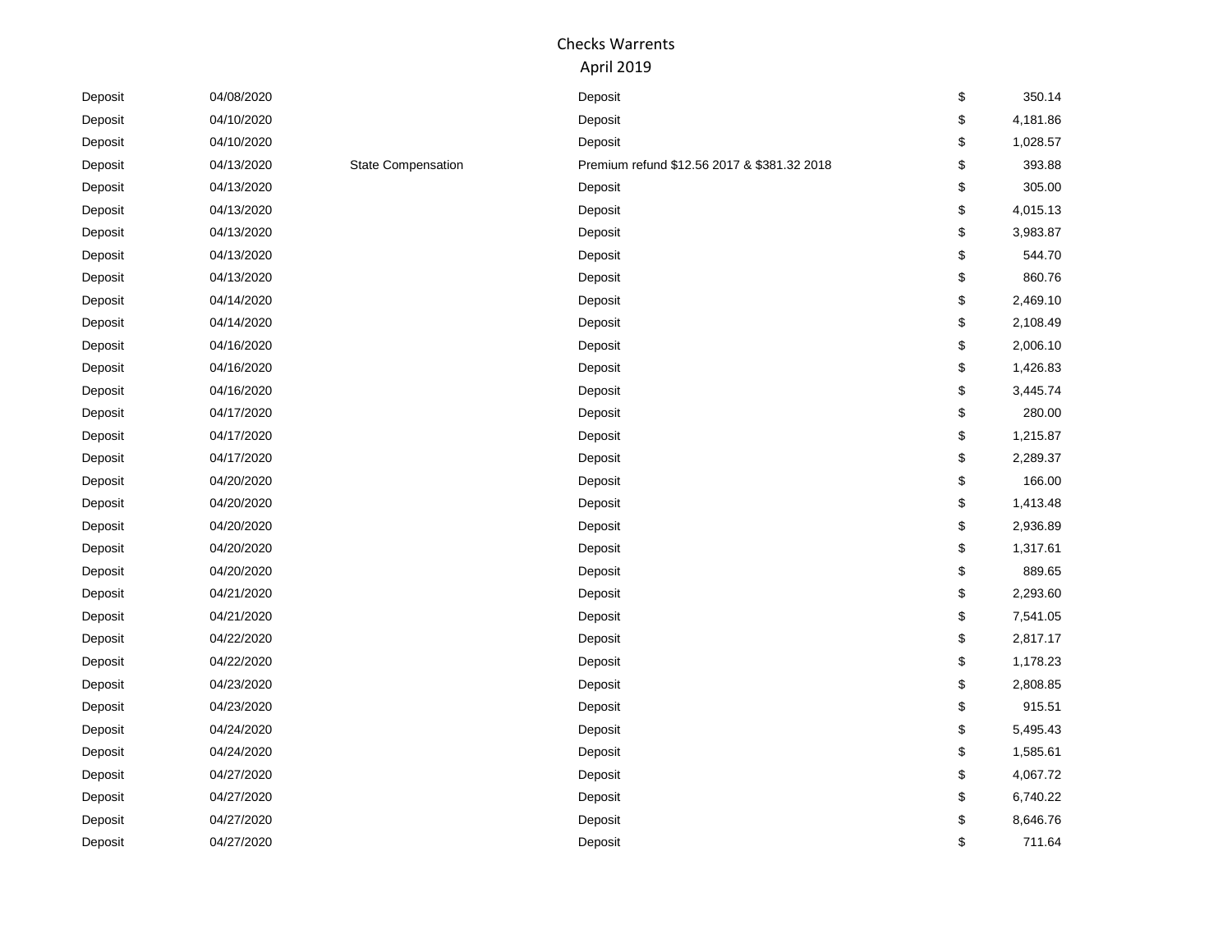| Deposit | 04/08/2020 |                           | Deposit                                     | \$<br>350.14   |
|---------|------------|---------------------------|---------------------------------------------|----------------|
| Deposit | 04/10/2020 |                           | Deposit                                     | \$<br>4,181.86 |
| Deposit | 04/10/2020 |                           | Deposit                                     | \$<br>1,028.57 |
| Deposit | 04/13/2020 | <b>State Compensation</b> | Premium refund \$12.56 2017 & \$381.32 2018 | \$<br>393.88   |
| Deposit | 04/13/2020 |                           | Deposit                                     | \$<br>305.00   |
| Deposit | 04/13/2020 |                           | Deposit                                     | \$<br>4,015.13 |
| Deposit | 04/13/2020 |                           | Deposit                                     | \$<br>3,983.87 |
| Deposit | 04/13/2020 |                           | Deposit                                     | \$<br>544.70   |
| Deposit | 04/13/2020 |                           | Deposit                                     | \$<br>860.76   |
| Deposit | 04/14/2020 |                           | Deposit                                     | \$<br>2,469.10 |
| Deposit | 04/14/2020 |                           | Deposit                                     | \$<br>2,108.49 |
| Deposit | 04/16/2020 |                           | Deposit                                     | \$<br>2,006.10 |
| Deposit | 04/16/2020 |                           | Deposit                                     | \$<br>1,426.83 |
| Deposit | 04/16/2020 |                           | Deposit                                     | \$<br>3,445.74 |
| Deposit | 04/17/2020 |                           | Deposit                                     | \$<br>280.00   |
| Deposit | 04/17/2020 |                           | Deposit                                     | \$<br>1,215.87 |
| Deposit | 04/17/2020 |                           | Deposit                                     | \$<br>2,289.37 |
| Deposit | 04/20/2020 |                           | Deposit                                     | \$<br>166.00   |
| Deposit | 04/20/2020 |                           | Deposit                                     | \$<br>1,413.48 |
| Deposit | 04/20/2020 |                           | Deposit                                     | \$<br>2,936.89 |
| Deposit | 04/20/2020 |                           | Deposit                                     | \$<br>1,317.61 |
| Deposit | 04/20/2020 |                           | Deposit                                     | \$<br>889.65   |
| Deposit | 04/21/2020 |                           | Deposit                                     | \$<br>2,293.60 |
| Deposit | 04/21/2020 |                           | Deposit                                     | \$<br>7,541.05 |
| Deposit | 04/22/2020 |                           | Deposit                                     | \$<br>2,817.17 |
| Deposit | 04/22/2020 |                           | Deposit                                     | \$<br>1,178.23 |
| Deposit | 04/23/2020 |                           | Deposit                                     | \$<br>2,808.85 |
| Deposit | 04/23/2020 |                           | Deposit                                     | \$<br>915.51   |
| Deposit | 04/24/2020 |                           | Deposit                                     | \$<br>5,495.43 |
| Deposit | 04/24/2020 |                           | Deposit                                     | \$<br>1,585.61 |
| Deposit | 04/27/2020 |                           | Deposit                                     | \$<br>4,067.72 |
| Deposit | 04/27/2020 |                           | Deposit                                     | \$<br>6,740.22 |
| Deposit | 04/27/2020 |                           | Deposit                                     | \$<br>8,646.76 |
| Deposit | 04/27/2020 |                           | Deposit                                     | \$<br>711.64   |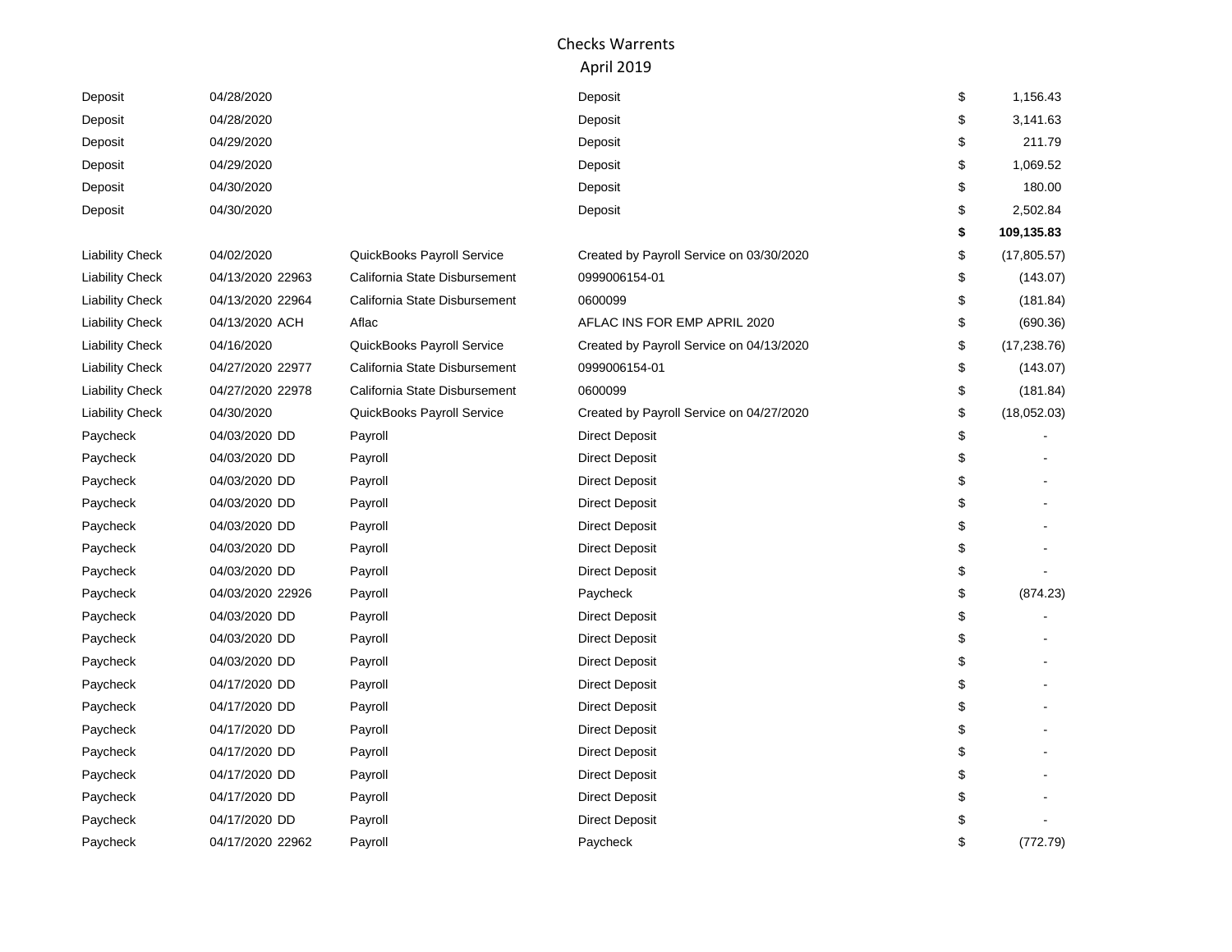| Deposit                | 04/28/2020       |                               | Deposit                                  | \$<br>1,156.43     |
|------------------------|------------------|-------------------------------|------------------------------------------|--------------------|
| Deposit                | 04/28/2020       |                               | Deposit                                  | \$<br>3,141.63     |
| Deposit                | 04/29/2020       |                               | Deposit                                  | \$<br>211.79       |
| Deposit                | 04/29/2020       |                               | Deposit                                  | \$<br>1,069.52     |
| Deposit                | 04/30/2020       |                               | Deposit                                  | \$<br>180.00       |
| Deposit                | 04/30/2020       |                               | Deposit                                  | \$<br>2,502.84     |
|                        |                  |                               |                                          | \$<br>109,135.83   |
| <b>Liability Check</b> | 04/02/2020       | QuickBooks Payroll Service    | Created by Payroll Service on 03/30/2020 | \$<br>(17, 805.57) |
| <b>Liability Check</b> | 04/13/2020 22963 | California State Disbursement | 0999006154-01                            | \$<br>(143.07)     |
| <b>Liability Check</b> | 04/13/2020 22964 | California State Disbursement | 0600099                                  | \$<br>(181.84)     |
| <b>Liability Check</b> | 04/13/2020 ACH   | Aflac                         | AFLAC INS FOR EMP APRIL 2020             | \$<br>(690.36)     |
| <b>Liability Check</b> | 04/16/2020       | QuickBooks Payroll Service    | Created by Payroll Service on 04/13/2020 | \$<br>(17, 238.76) |
| <b>Liability Check</b> | 04/27/2020 22977 | California State Disbursement | 0999006154-01                            | \$<br>(143.07)     |
| <b>Liability Check</b> | 04/27/2020 22978 | California State Disbursement | 0600099                                  | \$<br>(181.84)     |
| <b>Liability Check</b> | 04/30/2020       | QuickBooks Payroll Service    | Created by Payroll Service on 04/27/2020 | \$<br>(18,052.03)  |
| Paycheck               | 04/03/2020 DD    | Payroll                       | <b>Direct Deposit</b>                    | \$                 |
| Paycheck               | 04/03/2020 DD    | Payroll                       | <b>Direct Deposit</b>                    | \$                 |
| Paycheck               | 04/03/2020 DD    | Payroll                       | <b>Direct Deposit</b>                    | \$                 |
| Paycheck               | 04/03/2020 DD    | Payroll                       | <b>Direct Deposit</b>                    | \$                 |
| Paycheck               | 04/03/2020 DD    | Payroll                       | <b>Direct Deposit</b>                    | \$                 |
| Paycheck               | 04/03/2020 DD    | Payroll                       | <b>Direct Deposit</b>                    | \$                 |
| Paycheck               | 04/03/2020 DD    | Payroll                       | <b>Direct Deposit</b>                    | \$                 |
| Paycheck               | 04/03/2020 22926 | Payroll                       | Paycheck                                 | \$<br>(874.23)     |
| Paycheck               | 04/03/2020 DD    | Payroll                       | <b>Direct Deposit</b>                    | \$                 |
| Paycheck               | 04/03/2020 DD    | Payroll                       | <b>Direct Deposit</b>                    | \$                 |
| Paycheck               | 04/03/2020 DD    | Payroll                       | <b>Direct Deposit</b>                    | \$                 |
| Paycheck               | 04/17/2020 DD    | Payroll                       | <b>Direct Deposit</b>                    | \$                 |
| Paycheck               | 04/17/2020 DD    | Payroll                       | <b>Direct Deposit</b>                    | \$                 |
| Paycheck               | 04/17/2020 DD    | Payroll                       | <b>Direct Deposit</b>                    | \$                 |
| Paycheck               | 04/17/2020 DD    | Payroll                       | <b>Direct Deposit</b>                    | \$                 |
| Paycheck               | 04/17/2020 DD    | Payroll                       | <b>Direct Deposit</b>                    | \$                 |
| Paycheck               | 04/17/2020 DD    | Payroll                       | <b>Direct Deposit</b>                    | \$                 |
| Paycheck               | 04/17/2020 DD    | Payroll                       | <b>Direct Deposit</b>                    |                    |
| Paycheck               | 04/17/2020 22962 | Payroll                       | Paycheck                                 | \$<br>(772.79)     |